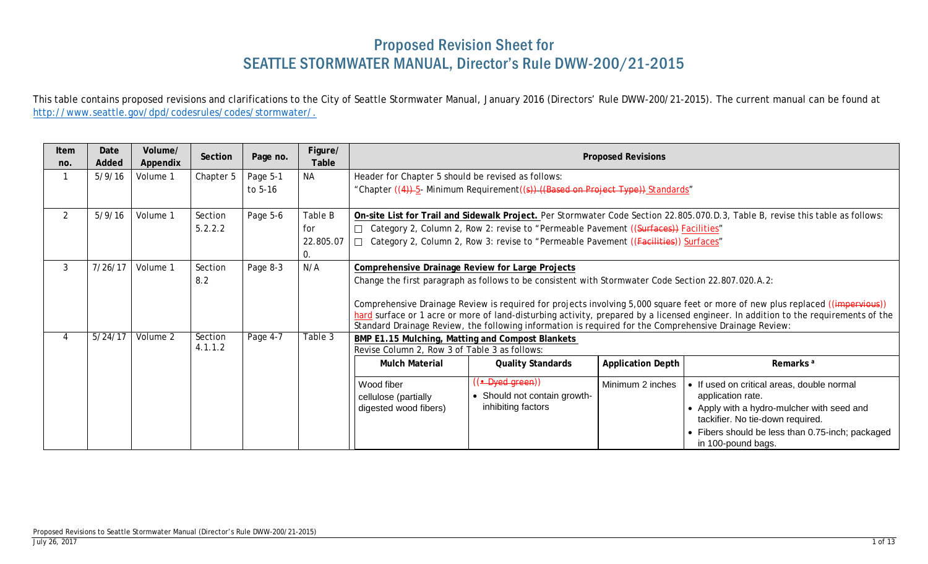## Proposed Revision Sheet for SEATTLE STORMWATER MANUAL, Director's Rule DWW-200/21-2015

This table contains proposed revisions and clarifications to the City of Seattle Stormwater Manual, January 2016 (Directors' Rule DWW-200/21-2015). The current manual can be found at [http://www.seattle.gov/dpd/codesrules/codes/stormwater/.](http://www.seattle.gov/dpd/codesrules/codes/stormwater/)

| Item<br>no.    | Date<br>Added | Volume/<br>Appendix | Section            | Page no.            | Figure/<br>Table                  |                                                                                                                                                                                                                                                                                                                                                                                                                                                                                                                                                   | <b>Proposed Revisions</b>                                                                                                                                                      |                          |                                                                                                                                                                                                                             |  |  |  |
|----------------|---------------|---------------------|--------------------|---------------------|-----------------------------------|---------------------------------------------------------------------------------------------------------------------------------------------------------------------------------------------------------------------------------------------------------------------------------------------------------------------------------------------------------------------------------------------------------------------------------------------------------------------------------------------------------------------------------------------------|--------------------------------------------------------------------------------------------------------------------------------------------------------------------------------|--------------------------|-----------------------------------------------------------------------------------------------------------------------------------------------------------------------------------------------------------------------------|--|--|--|
|                | 5/9/16        | Volume 1            | Chapter 5          | Page 5-1<br>to 5-16 | <b>NA</b>                         | Header for Chapter 5 should be revised as follows:                                                                                                                                                                                                                                                                                                                                                                                                                                                                                                | "Chapter ((4))-5- Minimum Requirement((s))-((Based on Project Type)) Standards"                                                                                                |                          |                                                                                                                                                                                                                             |  |  |  |
| $\overline{2}$ | 5/9/16        | Volume 1            | Section<br>5.2.2.2 | Page 5-6            | Table B<br>for<br>22.805.07<br>0. |                                                                                                                                                                                                                                                                                                                                                                                                                                                                                                                                                   | □ Category 2, Column 2, Row 2: revise to "Permeable Pavement ((Surfaces)) Facilities"<br>□ Category 2, Column 2, Row 3: revise to "Permeable Pavement ((Facilities)) Surfaces" |                          | On-site List for Trail and Sidewalk Project. Per Stormwater Code Section 22.805.070.D.3, Table B, revise this table as follows:                                                                                             |  |  |  |
| 3              | 7/26/17       | Volume 1            | Section<br>8.2     | Page 8-3            | N/A                               | <b>Comprehensive Drainage Review for Large Projects</b><br>Change the first paragraph as follows to be consistent with Stormwater Code Section 22.807.020.A.2:<br>Comprehensive Drainage Review is required for projects involving 5,000 square feet or more of new plus replaced ((impervious))<br>hard surface or 1 acre or more of land-disturbing activity, prepared by a licensed engineer. In addition to the requirements of the<br>Standard Drainage Review, the following information is required for the Comprehensive Drainage Review: |                                                                                                                                                                                |                          |                                                                                                                                                                                                                             |  |  |  |
|                | 5/24/17       | Volume 2            | Section<br>4.1.1.2 | Page 4-7            | Table 3                           | BMP E1.15 Mulching, Matting and Compost Blankets<br>Revise Column 2, Row 3 of Table 3 as follows:<br><b>Mulch Material</b>                                                                                                                                                                                                                                                                                                                                                                                                                        | <b>Quality Standards</b>                                                                                                                                                       | <b>Application Depth</b> | Remarks <sup>a</sup>                                                                                                                                                                                                        |  |  |  |
|                |               |                     |                    |                     |                                   | Wood fiber<br>cellulose (partially<br>digested wood fibers)                                                                                                                                                                                                                                                                                                                                                                                                                                                                                       | (( <del>• Dyed green</del> ))<br>• Should not contain growth-<br>inhibiting factors                                                                                            | Minimum 2 inches         | • If used on critical areas, double normal<br>application rate.<br>• Apply with a hydro-mulcher with seed and<br>tackifier. No tie-down required.<br>• Fibers should be less than 0.75-inch; packaged<br>in 100-pound bags. |  |  |  |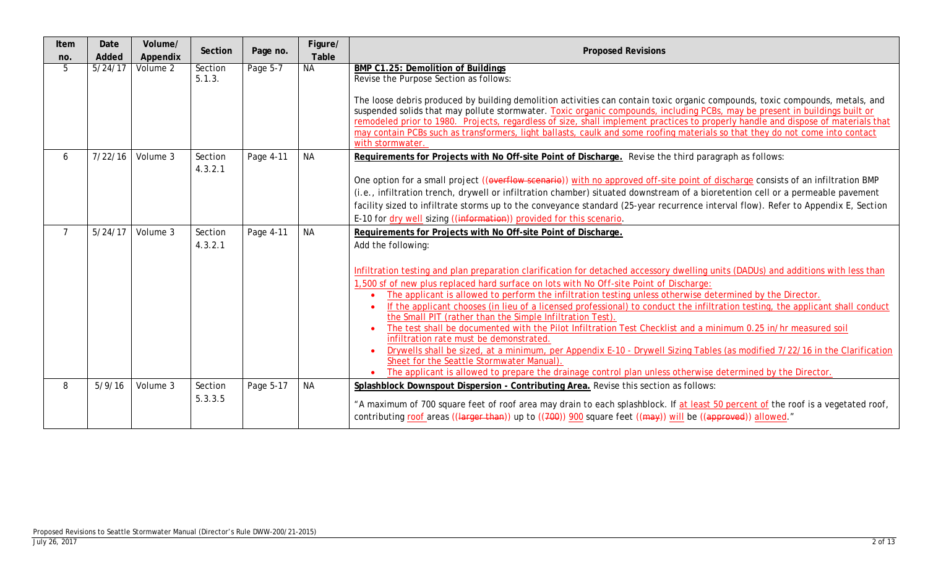| Item<br>no.    | Date<br>Added               | Volume/<br>Appendix | Section            | Page no.  | Figure/<br>Table | <b>Proposed Revisions</b>                                                                                                                                                                                                                                                                                                                                                                                                                                                                                                                                                                                                                                                                                                                                                                                                                                                                                                                                                                                                                                                               |
|----------------|-----------------------------|---------------------|--------------------|-----------|------------------|-----------------------------------------------------------------------------------------------------------------------------------------------------------------------------------------------------------------------------------------------------------------------------------------------------------------------------------------------------------------------------------------------------------------------------------------------------------------------------------------------------------------------------------------------------------------------------------------------------------------------------------------------------------------------------------------------------------------------------------------------------------------------------------------------------------------------------------------------------------------------------------------------------------------------------------------------------------------------------------------------------------------------------------------------------------------------------------------|
| 5              | $\frac{1}{5}/\frac{24}{17}$ | Volume 2            | Section<br>5.1.3.  | Page 5-7  | <b>NA</b>        | BMP C1.25: Demolition of Buildings<br>Revise the Purpose Section as follows:<br>The loose debris produced by building demolition activities can contain toxic organic compounds, toxic compounds, metals, and<br>suspended solids that may pollute stormwater. Toxic organic compounds, including PCBs, may be present in buildings built or<br>remodeled prior to 1980. Projects, regardless of size, shall implement practices to properly handle and dispose of materials that<br>may contain PCBs such as transformers, light ballasts, caulk and some roofing materials so that they do not come into contact<br>with stormwater.                                                                                                                                                                                                                                                                                                                                                                                                                                                  |
| 6              |                             | 7/22/16   Volume 3  | Section<br>4.3.2.1 | Page 4-11 | <b>NA</b>        | Requirements for Projects with No Off-site Point of Discharge. Revise the third paragraph as follows:<br>One option for a small project ((everflow scenario)) with no approved off-site point of discharge consists of an infiltration BMP<br>(i.e., infiltration trench, drywell or infiltration chamber) situated downstream of a bioretention cell or a permeable pavement<br>facility sized to infiltrate storms up to the conveyance standard (25-year recurrence interval flow). Refer to Appendix E, Section<br>E-10 for dry well sizing ((information)) provided for this scenario.                                                                                                                                                                                                                                                                                                                                                                                                                                                                                             |
| $\overline{7}$ | 5/24/17                     | Volume 3            | Section<br>4.3.2.1 | Page 4-11 | <b>NA</b>        | Requirements for Projects with No Off-site Point of Discharge.<br>Add the following:<br>Infiltration testing and plan preparation clarification for detached accessory dwelling units (DADUs) and additions with less than<br>1,500 sf of new plus replaced hard surface on lots with No Off-site Point of Discharge:<br>The applicant is allowed to perform the infiltration testing unless otherwise determined by the Director.<br>If the applicant chooses (in lieu of a licensed professional) to conduct the infiltration testing, the applicant shall conduct<br>the Small PIT (rather than the Simple Infiltration Test).<br>The test shall be documented with the Pilot Infiltration Test Checklist and a minimum 0.25 in/hr measured soil<br>infiltration rate must be demonstrated.<br>Drywells shall be sized, at a minimum, per Appendix E-10 - Drywell Sizing Tables (as modified 7/22/16 in the Clarification<br>Sheet for the Seattle Stormwater Manual).<br>The applicant is allowed to prepare the drainage control plan unless otherwise determined by the Director. |
| 8              | 5/9/16                      | Volume 3            | Section<br>5.3.3.5 | Page 5-17 | <b>NA</b>        | Splashblock Downspout Dispersion - Contributing Area. Revise this section as follows:<br>"A maximum of 700 square feet of roof area may drain to each splashblock. If at least 50 percent of the roof is a vegetated roof,<br>contributing roof areas ((larger than)) up to ((700)) 900 square feet ((may)) will be ((approved)) allowed."                                                                                                                                                                                                                                                                                                                                                                                                                                                                                                                                                                                                                                                                                                                                              |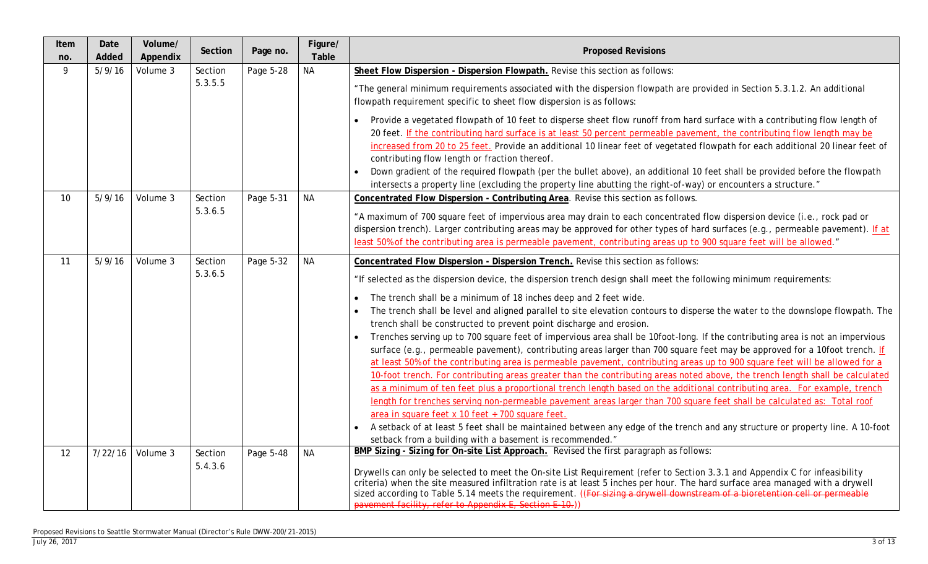| Item<br>no.       | Date<br>Added | Volume/<br>Appendix | Section            | Page no.  | Figure/<br>Table | <b>Proposed Revisions</b>                                                                                                                                                                                                                                                                                                                                                                                                                                                                                                                                                                                                                                                                                                                                                                                                                                                                                                                                                                                                                                                                                                                                                                                                                                                                                                                                                                                                                                                                                                    |
|-------------------|---------------|---------------------|--------------------|-----------|------------------|------------------------------------------------------------------------------------------------------------------------------------------------------------------------------------------------------------------------------------------------------------------------------------------------------------------------------------------------------------------------------------------------------------------------------------------------------------------------------------------------------------------------------------------------------------------------------------------------------------------------------------------------------------------------------------------------------------------------------------------------------------------------------------------------------------------------------------------------------------------------------------------------------------------------------------------------------------------------------------------------------------------------------------------------------------------------------------------------------------------------------------------------------------------------------------------------------------------------------------------------------------------------------------------------------------------------------------------------------------------------------------------------------------------------------------------------------------------------------------------------------------------------------|
| 9                 | 5/9/16        | Volume 3            | Section<br>5.3.5.5 | Page 5-28 | <b>NA</b>        | Sheet Flow Dispersion - Dispersion Flowpath. Revise this section as follows:<br>"The general minimum requirements associated with the dispersion flowpath are provided in Section 5.3.1.2. An additional<br>flowpath requirement specific to sheet flow dispersion is as follows:<br>Provide a vegetated flowpath of 10 feet to disperse sheet flow runoff from hard surface with a contributing flow length of<br>20 feet. If the contributing hard surface is at least 50 percent permeable pavement, the contributing flow length may be<br>increased from 20 to 25 feet. Provide an additional 10 linear feet of vegetated flowpath for each additional 20 linear feet of<br>contributing flow length or fraction thereof.<br>Down gradient of the required flowpath (per the bullet above), an additional 10 feet shall be provided before the flowpath                                                                                                                                                                                                                                                                                                                                                                                                                                                                                                                                                                                                                                                                 |
| 10 <sup>°</sup>   | 5/9/16        | Volume 3            | Section<br>5.3.6.5 | Page 5-31 | <b>NA</b>        | intersects a property line (excluding the property line abutting the right-of-way) or encounters a structure."<br>Concentrated Flow Dispersion - Contributing Area. Revise this section as follows.<br>"A maximum of 700 square feet of impervious area may drain to each concentrated flow dispersion device (i.e., rock pad or<br>dispersion trench). Larger contributing areas may be approved for other types of hard surfaces (e.g., permeable pavement). If at<br>least 50% of the contributing area is permeable pavement, contributing areas up to 900 square feet will be allowed."                                                                                                                                                                                                                                                                                                                                                                                                                                                                                                                                                                                                                                                                                                                                                                                                                                                                                                                                 |
| 11                | 5/9/16        | Volume 3            | Section<br>5.3.6.5 | Page 5-32 | <b>NA</b>        | Concentrated Flow Dispersion - Dispersion Trench. Revise this section as follows:<br>"If selected as the dispersion device, the dispersion trench design shall meet the following minimum requirements:<br>The trench shall be a minimum of 18 inches deep and 2 feet wide.<br>The trench shall be level and aligned parallel to site elevation contours to disperse the water to the downslope flowpath. The<br>trench shall be constructed to prevent point discharge and erosion.<br>Trenches serving up to 700 square feet of impervious area shall be 10foot-long. If the contributing area is not an impervious<br>surface (e.g., permeable pavement), contributing areas larger than 700 square feet may be approved for a 10foot trench. If<br>at least 50% of the contributing area is permeable pavement, contributing areas up to 900 square feet will be allowed for a<br>10-foot trench. For contributing areas greater than the contributing areas noted above, the trench length shall be calculated<br>as a minimum of ten feet plus a proportional trench length based on the additional contributing area. For example, trench<br>length for trenches serving non-permeable pavement areas larger than 700 square feet shall be calculated as: Total roof<br>area in square feet x 10 feet ÷ 700 square feet.<br>A setback of at least 5 feet shall be maintained between any edge of the trench and any structure or property line. A 10-foot<br>setback from a building with a basement is recommended." |
| $12 \overline{ }$ | 7/22/16       | Volume 3            | Section<br>5.4.3.6 | Page 5-48 | <b>NA</b>        | BMP Sizing - Sizing for On-site List Approach. Revised the first paragraph as follows:<br>Drywells can only be selected to meet the On-site List Requirement (refer to Section 3.3.1 and Appendix C for infeasibility<br>criteria) when the site measured infiltration rate is at least 5 inches per hour. The hard surface area managed with a drywell<br>sized according to Table 5.14 meets the requirement. ((For sizing a drywell downstream of a bioretention cell or permeable<br>pavement facility, refer to Appendix E, Section E-10.)                                                                                                                                                                                                                                                                                                                                                                                                                                                                                                                                                                                                                                                                                                                                                                                                                                                                                                                                                                              |

## Proposed Revisions to Seattle Stormwater Manual (Director's Rule DWW-200/21-2015)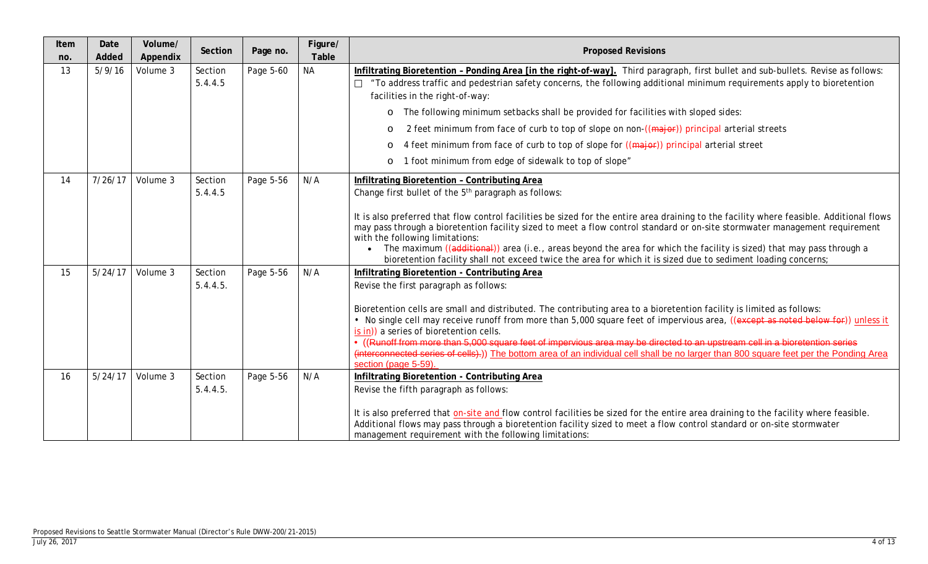| Item<br>no. | Date<br>Added | Volume/<br>Appendix | Section             | Page no.  | Figure/<br>Table | <b>Proposed Revisions</b>                                                                                                                                                                                                                                                                                                                                                                                                                                                                                                                                                                                                                                                                        |
|-------------|---------------|---------------------|---------------------|-----------|------------------|--------------------------------------------------------------------------------------------------------------------------------------------------------------------------------------------------------------------------------------------------------------------------------------------------------------------------------------------------------------------------------------------------------------------------------------------------------------------------------------------------------------------------------------------------------------------------------------------------------------------------------------------------------------------------------------------------|
| 13          | 5/9/16        | Volume 3            | Section<br>5.4.4.5  | Page 5-60 | <b>NA</b>        | Infiltrating Bioretention - Ponding Area [in the right-of-way]. Third paragraph, first bullet and sub-bullets. Revise as follows:<br>"To address traffic and pedestrian safety concerns, the following additional minimum requirements apply to bioretention<br>facilities in the right-of-way:<br>The following minimum setbacks shall be provided for facilities with sloped sides:<br>$\circ$<br>2 feet minimum from face of curb to top of slope on non-((major)) principal arterial streets<br>$\circ$<br>4 feet minimum from face of curb to top of slope for ((major)) principal arterial street<br>O<br>1 foot minimum from edge of sidewalk to top of slope"<br>O                       |
| 14          | 7/26/17       | Volume 3            | Section<br>5.4.4.5  | Page 5-56 | N/A              | Infiltrating Bioretention - Contributing Area<br>Change first bullet of the 5 <sup>th</sup> paragraph as follows:<br>It is also preferred that flow control facilities be sized for the entire area draining to the facility where feasible. Additional flows<br>may pass through a bioretention facility sized to meet a flow control standard or on-site stormwater management requirement<br>with the following limitations:<br>The maximum ((additional)) area (i.e., areas beyond the area for which the facility is sized) that may pass through a<br>bioretention facility shall not exceed twice the area for which it is sized due to sediment loading concerns;                        |
| 15          | 5/24/17       | Volume 3            | Section<br>5.4.4.5. | Page 5-56 | N/A              | Infiltrating Bioretention - Contributing Area<br>Revise the first paragraph as follows:<br>Bioretention cells are small and distributed. The contributing area to a bioretention facility is limited as follows:<br>. No single cell may receive runoff from more than 5,000 square feet of impervious area, ((except as noted below for)) unless it<br>is in)) a series of bioretention cells.<br>• ((Runoff from more than 5,000 square feet of impervious area may be directed to an upstream cell in a bioretention series<br>(interconnected series of cells).)) The bottom area of an individual cell shall be no larger than 800 square feet per the Ponding Area<br>section (page 5-59). |
| 16          | 5/24/17       | Volume 3            | Section<br>5.4.4.5. | Page 5-56 | N/A              | Infiltrating Bioretention - Contributing Area<br>Revise the fifth paragraph as follows:<br>It is also preferred that on-site and flow control facilities be sized for the entire area draining to the facility where feasible.<br>Additional flows may pass through a bioretention facility sized to meet a flow control standard or on-site stormwater<br>management requirement with the following limitations:                                                                                                                                                                                                                                                                                |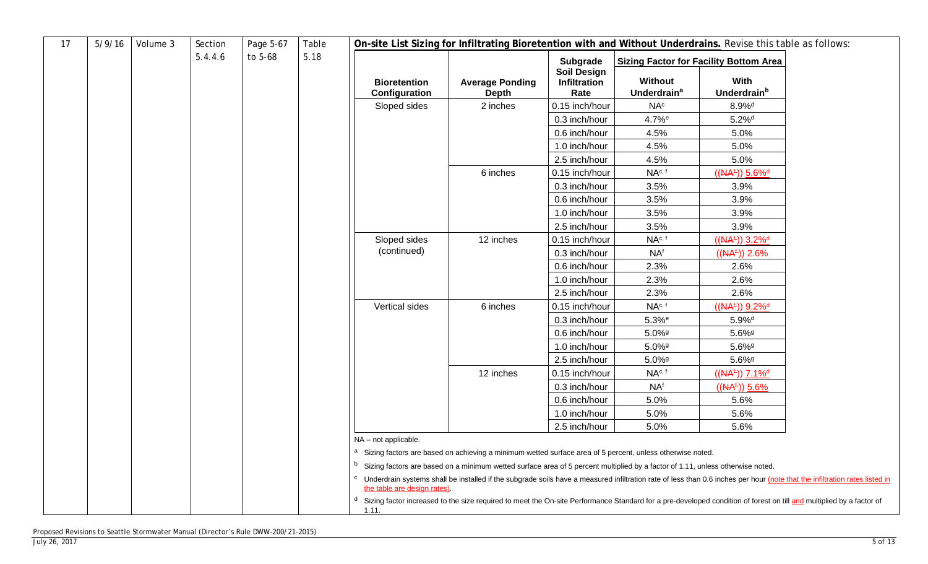| 17 | 5/9/16 | Volume 3 | Section | Page 5-67 | Table |                                      | On-site List Sizing for Infiltrating Bioretention with and Without Underdrains. Revise this table as follows:                                                                    |                                            |                                          |                                               |                                                                                                                                                                                         |
|----|--------|----------|---------|-----------|-------|--------------------------------------|----------------------------------------------------------------------------------------------------------------------------------------------------------------------------------|--------------------------------------------|------------------------------------------|-----------------------------------------------|-----------------------------------------------------------------------------------------------------------------------------------------------------------------------------------------|
|    |        |          | 5.4.4.6 | to 5-68   | 5.18  |                                      |                                                                                                                                                                                  | Subgrade                                   |                                          | <b>Sizing Factor for Facility Bottom Area</b> |                                                                                                                                                                                         |
|    |        |          |         |           |       | <b>Bioretention</b><br>Configuration | <b>Average Ponding</b><br><b>Depth</b>                                                                                                                                           | <b>Soil Design</b><br>Infiltration<br>Rate | Without<br><b>Underdrain<sup>a</sup></b> | With<br>Underdrain <sup>b</sup>               |                                                                                                                                                                                         |
|    |        |          |         |           |       | Sloped sides                         | 2 inches                                                                                                                                                                         | 0.15 inch/hour                             | NA <sup>c</sup>                          | $8.9\%$ <sup>d</sup>                          |                                                                                                                                                                                         |
|    |        |          |         |           |       |                                      |                                                                                                                                                                                  | 0.3 inch/hour                              | 4.7% <sup>e</sup>                        | $5.2\%$ <sup>d</sup>                          |                                                                                                                                                                                         |
|    |        |          |         |           |       |                                      |                                                                                                                                                                                  | 0.6 inch/hour                              | 4.5%                                     | 5.0%                                          |                                                                                                                                                                                         |
|    |        |          |         |           |       |                                      |                                                                                                                                                                                  | 1.0 inch/hour                              | 4.5%                                     | 5.0%                                          |                                                                                                                                                                                         |
|    |        |          |         |           |       |                                      |                                                                                                                                                                                  | 2.5 inch/hour                              | 4.5%                                     | 5.0%                                          |                                                                                                                                                                                         |
|    |        |          |         |           |       |                                      | 6 inches                                                                                                                                                                         | 0.15 inch/hour                             | NA <sup>c, f</sup>                       | $((NA£)) 5.6%$ <sup>d</sup>                   |                                                                                                                                                                                         |
|    |        |          |         |           |       |                                      |                                                                                                                                                                                  | 0.3 inch/hour                              | 3.5%                                     | 3.9%                                          |                                                                                                                                                                                         |
|    |        |          |         |           |       |                                      |                                                                                                                                                                                  | 0.6 inch/hour                              | 3.5%                                     | 3.9%                                          |                                                                                                                                                                                         |
|    |        |          |         |           |       |                                      |                                                                                                                                                                                  | 1.0 inch/hour                              | 3.5%                                     | 3.9%                                          |                                                                                                                                                                                         |
|    |        |          |         |           |       |                                      |                                                                                                                                                                                  | 2.5 inch/hour                              | 3.5%                                     | 3.9%                                          |                                                                                                                                                                                         |
|    |        |          |         |           |       | Sloped sides                         | 12 inches                                                                                                                                                                        | 0.15 inch/hour                             | NA <sup>c, f</sup>                       | $((AA^{\pm}))$ 3.2% <sup>d</sup>              |                                                                                                                                                                                         |
|    |        |          |         |           |       | (continued)                          |                                                                                                                                                                                  | 0.3 inch/hour                              | NA <sup>f</sup>                          | $((NA^{\pm})) 2.6\%$                          |                                                                                                                                                                                         |
|    |        |          |         |           |       |                                      |                                                                                                                                                                                  | 0.6 inch/hour                              | 2.3%                                     | 2.6%                                          |                                                                                                                                                                                         |
|    |        |          |         |           |       |                                      |                                                                                                                                                                                  | 1.0 inch/hour                              | 2.3%                                     | 2.6%                                          |                                                                                                                                                                                         |
|    |        |          |         |           |       |                                      |                                                                                                                                                                                  | 2.5 inch/hour                              | 2.3%                                     | 2.6%                                          |                                                                                                                                                                                         |
|    |        |          |         |           |       | Vertical sides                       | 6 inches                                                                                                                                                                         | 0.15 inch/hour                             | NA <sup>c, f</sup>                       | $((AA^{\pm}))$ 9.2% <sup>d</sup>              |                                                                                                                                                                                         |
|    |        |          |         |           |       |                                      |                                                                                                                                                                                  | 0.3 inch/hour                              | $5.3%$ <sup>e</sup>                      | $5.9%$ <sup>d</sup>                           |                                                                                                                                                                                         |
|    |        |          |         |           |       |                                      |                                                                                                                                                                                  | 0.6 inch/hour                              | 5.0%9                                    | $5.6\%$ <sup>9</sup>                          |                                                                                                                                                                                         |
|    |        |          |         |           |       |                                      |                                                                                                                                                                                  | 1.0 inch/hour                              | $5.0\%$ <sup>g</sup>                     | $5.6\%$ <sup>9</sup>                          |                                                                                                                                                                                         |
|    |        |          |         |           |       |                                      |                                                                                                                                                                                  | 2.5 inch/hour                              | $5.0\%$ <sup>g</sup>                     | $5.6\%$ <sup>9</sup>                          |                                                                                                                                                                                         |
|    |        |          |         |           |       |                                      | 12 inches                                                                                                                                                                        | 0.15 inch/hour                             | NA <sup>c, f</sup>                       | $((AA^{\pm}))$ 7.1% <sup>d</sup>              |                                                                                                                                                                                         |
|    |        |          |         |           |       |                                      |                                                                                                                                                                                  | 0.3 inch/hour                              | <b>NAf</b>                               | $((NA4))$ 5.6%                                |                                                                                                                                                                                         |
|    |        |          |         |           |       |                                      |                                                                                                                                                                                  | 0.6 inch/hour                              | 5.0%                                     | 5.6%                                          |                                                                                                                                                                                         |
|    |        |          |         |           |       |                                      |                                                                                                                                                                                  | 1.0 inch/hour                              | 5.0%                                     | 5.6%                                          |                                                                                                                                                                                         |
|    |        |          |         |           |       |                                      |                                                                                                                                                                                  | 2.5 inch/hour                              | 5.0%                                     | 5.6%                                          |                                                                                                                                                                                         |
|    |        |          |         |           |       | NA - not applicable.                 |                                                                                                                                                                                  |                                            |                                          |                                               |                                                                                                                                                                                         |
|    |        |          |         |           |       |                                      | a Sizing factors are based on achieving a minimum wetted surface area of 5 percent, unless otherwise noted.                                                                      |                                            |                                          |                                               |                                                                                                                                                                                         |
|    |        |          |         |           |       |                                      | <sup>b</sup> Sizing factors are based on a minimum wetted surface area of 5 percent multiplied by a factor of 1.11, unless otherwise noted.                                      |                                            |                                          |                                               |                                                                                                                                                                                         |
|    |        |          |         |           |       | the table are design rates).         |                                                                                                                                                                                  |                                            |                                          |                                               | <sup>c</sup> Underdrain systems shall be installed if the subgrade soils have a measured infiltration rate of less than 0.6 inches per hour (note that the infiltration rates listed in |
|    |        |          |         |           |       | 1.11.                                | <sup>d</sup> Sizing factor increased to the size required to meet the On-site Performance Standard for a pre-developed condition of forest on till and multiplied by a factor of |                                            |                                          |                                               |                                                                                                                                                                                         |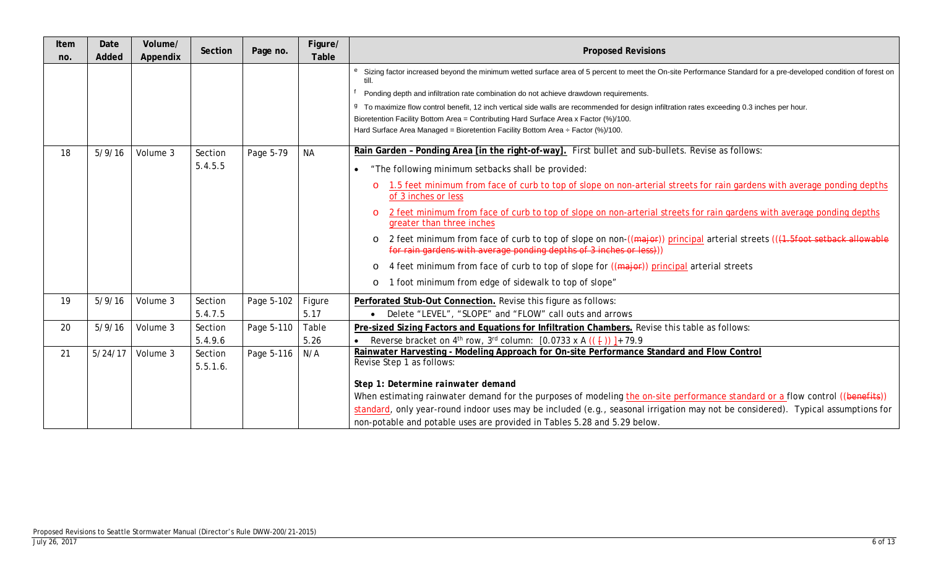| Item<br>no. | Date<br>Added | Volume/<br>Appendix | Section             | Page no.   | Figure/<br>Table | <b>Proposed Revisions</b>                                                                                                                                                                                  |
|-------------|---------------|---------------------|---------------------|------------|------------------|------------------------------------------------------------------------------------------------------------------------------------------------------------------------------------------------------------|
|             |               |                     |                     |            |                  | e Sizing factor increased beyond the minimum wetted surface area of 5 percent to meet the On-site Performance Standard for a pre-developed condition of forest on<br>till.                                 |
|             |               |                     |                     |            |                  | Ponding depth and infiltration rate combination do not achieve drawdown requirements.                                                                                                                      |
|             |               |                     |                     |            |                  | <sup>9</sup> To maximize flow control benefit, 12 inch vertical side walls are recommended for design infiltration rates exceeding 0.3 inches per hour.                                                    |
|             |               |                     |                     |            |                  | Bioretention Facility Bottom Area = Contributing Hard Surface Area x Factor (%)/100.                                                                                                                       |
|             |               |                     |                     |            |                  | Hard Surface Area Managed = Bioretention Facility Bottom Area $\div$ Factor (%)/100.                                                                                                                       |
| 18          | 5/9/16        | Volume 3            | Section             | Page 5-79  | <b>NA</b>        | Rain Garden - Ponding Area [in the right-of-way]. First bullet and sub-bullets. Revise as follows:                                                                                                         |
|             |               |                     | 5.4.5.5             |            |                  | "The following minimum setbacks shall be provided:                                                                                                                                                         |
|             |               |                     |                     |            |                  | 1.5 feet minimum from face of curb to top of slope on non-arterial streets for rain gardens with average ponding depths<br>$\circ$<br>of 3 inches or less                                                  |
|             |               |                     |                     |            |                  | 2 feet minimum from face of curb to top of slope on non-arterial streets for rain gardens with average ponding depths<br>$\circ$<br>greater than three inches                                              |
|             |               |                     |                     |            |                  | 2 feet minimum from face of curb to top of slope on non-((major)) principal arterial streets ((4.5foot setback allowable<br>$\circ$<br>for rain gardens with average ponding depths of 3 inches or less))) |
|             |               |                     |                     |            |                  | 4 feet minimum from face of curb to top of slope for ((major)) principal arterial streets<br>$\circ$                                                                                                       |
|             |               |                     |                     |            |                  | 1 foot minimum from edge of sidewalk to top of slope"<br>$\circ$                                                                                                                                           |
| 19          | 5/9/16        | Volume 3            | Section             | Page 5-102 | Figure           | Perforated Stub-Out Connection. Revise this figure as follows:                                                                                                                                             |
|             |               |                     | 5.4.7.5             |            | 5.17             | Delete "LEVEL", "SLOPE" and "FLOW" call outs and arrows                                                                                                                                                    |
| 20          | 5/9/16        | Volume 3            | Section             | Page 5-110 | Table            | Pre-sized Sizing Factors and Equations for Infiltration Chambers. Revise this table as follows:                                                                                                            |
|             |               |                     | 5.4.9.6             |            | 5.26             | Reverse bracket on 4 <sup>th</sup> row, 3 <sup>rd</sup> column: [0.0733 x A (( $\frac{1}{2}$ ))] + 79.9                                                                                                    |
| 21          | 5/24/17       | Volume 3            | Section<br>5.5.1.6. | Page 5-116 | N/A              | Rainwater Harvesting - Modeling Approach for On-site Performance Standard and Flow Control<br>Revise Step 1 as follows:                                                                                    |
|             |               |                     |                     |            |                  | Step 1: Determine rainwater demand                                                                                                                                                                         |
|             |               |                     |                     |            |                  | When estimating rainwater demand for the purposes of modeling the on-site performance standard or a flow control ((benefits))                                                                              |
|             |               |                     |                     |            |                  | standard, only year-round indoor uses may be included (e.g., seasonal irrigation may not be considered). Typical assumptions for                                                                           |
|             |               |                     |                     |            |                  | non-potable and potable uses are provided in Tables 5.28 and 5.29 below.                                                                                                                                   |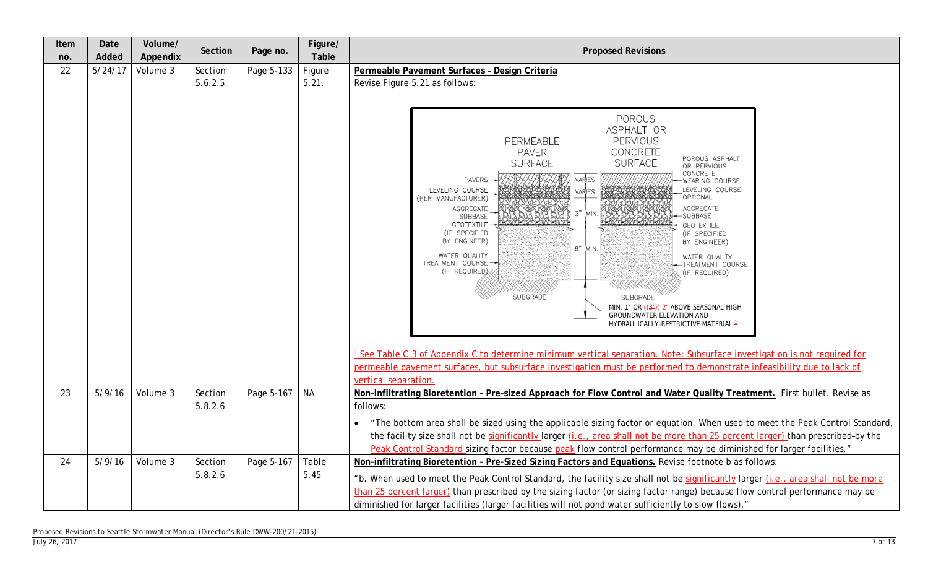| Item<br>no. | Date<br>Added | Volume/<br>Appendix | Section  | Page no.   | Figure/<br>Table | <b>Proposed Revisions</b>                                                                                                                                                                                                                                                                                                                                                                                                                                                                                                                                                                                                                                                                                                                                                                                                                                                                                                                                                                                                                         |  |  |  |  |
|-------------|---------------|---------------------|----------|------------|------------------|---------------------------------------------------------------------------------------------------------------------------------------------------------------------------------------------------------------------------------------------------------------------------------------------------------------------------------------------------------------------------------------------------------------------------------------------------------------------------------------------------------------------------------------------------------------------------------------------------------------------------------------------------------------------------------------------------------------------------------------------------------------------------------------------------------------------------------------------------------------------------------------------------------------------------------------------------------------------------------------------------------------------------------------------------|--|--|--|--|
| 22          | 5/24/17       | Volume 3            | Section  | Page 5-133 | Figure           | Permeable Pavement Surfaces - Design Criteria                                                                                                                                                                                                                                                                                                                                                                                                                                                                                                                                                                                                                                                                                                                                                                                                                                                                                                                                                                                                     |  |  |  |  |
|             |               |                     | 5.6.2.5. |            | 5.21.            | Revise Figure 5.21 as follows:                                                                                                                                                                                                                                                                                                                                                                                                                                                                                                                                                                                                                                                                                                                                                                                                                                                                                                                                                                                                                    |  |  |  |  |
|             |               |                     |          |            |                  |                                                                                                                                                                                                                                                                                                                                                                                                                                                                                                                                                                                                                                                                                                                                                                                                                                                                                                                                                                                                                                                   |  |  |  |  |
|             |               |                     |          |            |                  | POROUS<br>ASPHALT OR<br>PERMEABLE<br>PERVIOUS<br>CONCRETE<br><b>PAVER</b><br>POROUS ASPHALT<br><b>SURFACE</b><br><b>SURFACE</b><br>OR PERVIOUS<br>CONCRETE<br>VARIES<br><b>PAVERS</b><br>WEARING COURSE<br>LEVELING COURSE<br>LEVELING COURSE,<br>VARIES<br>OPTIONAL<br>(PER MANUFACTURER)<br>AGGREGATE<br>AGGREGATE<br>SUBBASE<br>3"<br>MIN<br><b>SUBBASE</b><br><b>GEOTEXTILE</b><br>GEOTEXTILE<br>(IF SPECIFIED<br>(IF SPECIFIED<br>BY ENGINEER)<br>BY ENGINEER)<br>6" MIN.<br>WATER QUALITY<br>WATER QUALITY<br>TREATMENT COURSE<br>TREATMENT COURSE<br>(IF REQUIRED)<br>(IF REQUIRED)<br>XXXXXX<br>SUBGRADE<br><b>SUBGRADE</b><br>MIN. 1' OR $((3))$ 2' ABOVE SEASONAL HIGH<br>GROUNDWATER ELEVATION AND<br>HYDRAULICALLY-RESTRICTIVE MATERIAL 1<br><sup>1</sup> See Table C.3 of Appendix C to determine minimum vertical separation. Note: Subsurface investigation is not required for<br>permeable pavement surfaces, but subsurface investigation must be performed to demonstrate infeasibility due to lack of<br>vertical separation. |  |  |  |  |
| 23          | 5/9/16        | Volume 3            | Section  | Page 5-167 | <b>NA</b>        | Non-infiltrating Bioretention - Pre-sized Approach for Flow Control and Water Quality Treatment. First bullet. Revise as                                                                                                                                                                                                                                                                                                                                                                                                                                                                                                                                                                                                                                                                                                                                                                                                                                                                                                                          |  |  |  |  |
|             |               |                     | 5.8.2.6  |            |                  | follows:                                                                                                                                                                                                                                                                                                                                                                                                                                                                                                                                                                                                                                                                                                                                                                                                                                                                                                                                                                                                                                          |  |  |  |  |
|             |               |                     |          |            |                  | "The bottom area shall be sized using the applicable sizing factor or equation. When used to meet the Peak Control Standard,                                                                                                                                                                                                                                                                                                                                                                                                                                                                                                                                                                                                                                                                                                                                                                                                                                                                                                                      |  |  |  |  |
|             |               |                     |          |            |                  | the facility size shall not be significantly larger (i.e., area shall not be more than 25 percent larger) than prescribed-by the                                                                                                                                                                                                                                                                                                                                                                                                                                                                                                                                                                                                                                                                                                                                                                                                                                                                                                                  |  |  |  |  |
|             |               |                     |          |            |                  | Peak Control Standard sizing factor because peak flow control performance may be diminished for larger facilities."                                                                                                                                                                                                                                                                                                                                                                                                                                                                                                                                                                                                                                                                                                                                                                                                                                                                                                                               |  |  |  |  |
| 24          | 5/9/16        | Volume 3            | Section  | Page 5-167 | Table            | Non-infiltrating Bioretention - Pre-Sized Sizing Factors and Equations. Revise footnote b as follows:                                                                                                                                                                                                                                                                                                                                                                                                                                                                                                                                                                                                                                                                                                                                                                                                                                                                                                                                             |  |  |  |  |
|             |               |                     | 5.8.2.6  |            | 5.45             | "b. When used to meet the Peak Control Standard, the facility size shall not be significantly larger (i.e., area shall not be more<br>than 25 percent larger) than prescribed by the sizing factor (or sizing factor range) because flow control performance may be<br>diminished for larger facilities (larger facilities will not pond water sufficiently to slow flows)."                                                                                                                                                                                                                                                                                                                                                                                                                                                                                                                                                                                                                                                                      |  |  |  |  |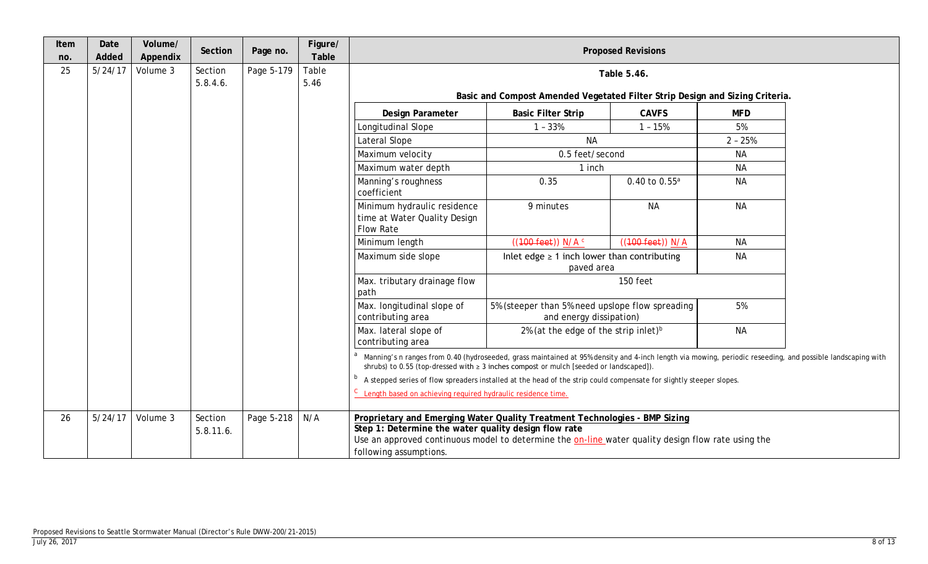| Item<br>no. | Date<br>Added | Volume/<br>Appendix | Section              | Page no.   | Figure/<br>Table |                                                                                                                                                                                                                                                                    | <b>Proposed Revisions</b>                                                                                                                                                                                                                                 |                    |            |  |  |  |  |
|-------------|---------------|---------------------|----------------------|------------|------------------|--------------------------------------------------------------------------------------------------------------------------------------------------------------------------------------------------------------------------------------------------------------------|-----------------------------------------------------------------------------------------------------------------------------------------------------------------------------------------------------------------------------------------------------------|--------------------|------------|--|--|--|--|
| 25          | 5/24/17       | Volume 3            | Section<br>5.8.4.6.  | Page 5-179 | Table<br>5.46    |                                                                                                                                                                                                                                                                    |                                                                                                                                                                                                                                                           | Table 5.46.        |            |  |  |  |  |
|             |               |                     |                      |            |                  |                                                                                                                                                                                                                                                                    | Basic and Compost Amended Vegetated Filter Strip Design and Sizing Criteria.                                                                                                                                                                              |                    |            |  |  |  |  |
|             |               |                     |                      |            |                  | Design Parameter                                                                                                                                                                                                                                                   | <b>Basic Filter Strip</b>                                                                                                                                                                                                                                 | <b>CAVFS</b>       | <b>MFD</b> |  |  |  |  |
|             |               |                     |                      |            |                  | Longitudinal Slope                                                                                                                                                                                                                                                 | $1 - 33%$                                                                                                                                                                                                                                                 | $1 - 15%$          | 5%         |  |  |  |  |
|             |               |                     |                      |            |                  | Lateral Slope                                                                                                                                                                                                                                                      | <b>NA</b>                                                                                                                                                                                                                                                 |                    | $2 - 25%$  |  |  |  |  |
|             |               |                     |                      |            |                  | Maximum velocity                                                                                                                                                                                                                                                   | 0.5 feet/second                                                                                                                                                                                                                                           |                    | <b>NA</b>  |  |  |  |  |
|             |               |                     |                      |            |                  | Maximum water depth                                                                                                                                                                                                                                                | 1 inch                                                                                                                                                                                                                                                    |                    | <b>NA</b>  |  |  |  |  |
|             |               |                     |                      |            |                  | Manning's roughness<br>coefficient                                                                                                                                                                                                                                 | 0.35                                                                                                                                                                                                                                                      | 0.40 to $0.55^a$   | <b>NA</b>  |  |  |  |  |
|             |               |                     |                      |            |                  | Minimum hydraulic residence<br><b>NA</b><br>9 minutes<br>time at Water Quality Design<br><b>Flow Rate</b>                                                                                                                                                          |                                                                                                                                                                                                                                                           | <b>NA</b>          |            |  |  |  |  |
|             |               |                     |                      |            |                  | Minimum length                                                                                                                                                                                                                                                     | $((100 \text{ feet}))$ N/A $\circ$                                                                                                                                                                                                                        | $((100 feet))$ N/A | <b>NA</b>  |  |  |  |  |
|             |               |                     |                      |            |                  | Maximum side slope                                                                                                                                                                                                                                                 | Inlet edge $\geq 1$ inch lower than contributing<br>paved area                                                                                                                                                                                            |                    | <b>NA</b>  |  |  |  |  |
|             |               |                     |                      |            |                  | Max. tributary drainage flow<br>path                                                                                                                                                                                                                               |                                                                                                                                                                                                                                                           | 150 feet           |            |  |  |  |  |
|             |               |                     |                      |            |                  | Max. longitudinal slope of<br>contributing area                                                                                                                                                                                                                    | 5% (steeper than 5% need upslope flow spreading<br>and energy dissipation)                                                                                                                                                                                |                    | 5%         |  |  |  |  |
|             |               |                     |                      |            |                  | Max. lateral slope of<br>contributing area                                                                                                                                                                                                                         | 2% (at the edge of the strip inlet) <sup>b</sup>                                                                                                                                                                                                          |                    | <b>NA</b>  |  |  |  |  |
|             |               |                     |                      |            |                  |                                                                                                                                                                                                                                                                    | Manning's n ranges from 0.40 (hydroseeded, grass maintained at 95% density and 4-inch length via mowing, periodic reseeding, and possible landscaping with<br>shrubs) to 0.55 (top-dressed with $\geq$ 3 inches compost or mulch [seeded or landscaped]). |                    |            |  |  |  |  |
|             |               |                     |                      |            |                  | <sup>b</sup> A stepped series of flow spreaders installed at the head of the strip could compensate for slightly steeper slopes.                                                                                                                                   |                                                                                                                                                                                                                                                           |                    |            |  |  |  |  |
|             |               |                     |                      |            |                  | <sup>C</sup> Length based on achieving required hydraulic residence time.                                                                                                                                                                                          |                                                                                                                                                                                                                                                           |                    |            |  |  |  |  |
| 26          | 5/24/17       | Volume 3            | Section<br>5.8.11.6. | Page 5-218 | N/A              | Proprietary and Emerging Water Quality Treatment Technologies - BMP Sizing<br>Step 1: Determine the water quality design flow rate<br>Use an approved continuous model to determine the on-line water quality design flow rate using the<br>following assumptions. |                                                                                                                                                                                                                                                           |                    |            |  |  |  |  |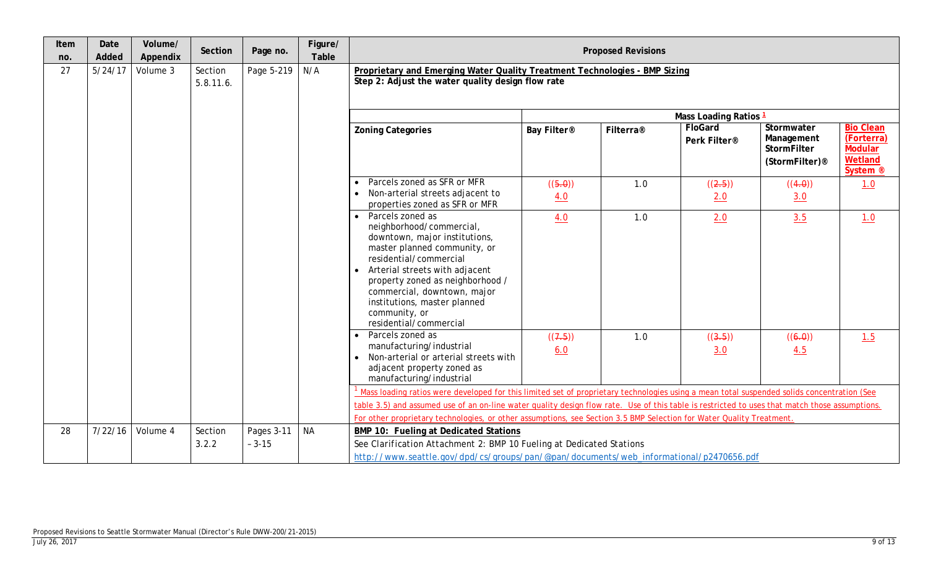| Item<br>no. | Date<br>Added | Volume/<br>Appendix | Section      | Page no.   | Figure/<br>Table | <b>Proposed Revisions</b>                                                                                                                                                                                                                                                                                               |                |           |                         |                                                                       |                                                                                    |
|-------------|---------------|---------------------|--------------|------------|------------------|-------------------------------------------------------------------------------------------------------------------------------------------------------------------------------------------------------------------------------------------------------------------------------------------------------------------------|----------------|-----------|-------------------------|-----------------------------------------------------------------------|------------------------------------------------------------------------------------|
| 27          | 5/24/17       | Volume 3            | Section      | Page 5-219 | N/A              | Proprietary and Emerging Water Quality Treatment Technologies - BMP Sizing                                                                                                                                                                                                                                              |                |           |                         |                                                                       |                                                                                    |
|             |               |                     | $5.8.11.6$ . |            |                  | Step 2: Adjust the water quality design flow rate                                                                                                                                                                                                                                                                       |                |           |                         |                                                                       |                                                                                    |
|             |               |                     |              |            |                  |                                                                                                                                                                                                                                                                                                                         |                |           | Mass Loading Ratios 1   |                                                                       |                                                                                    |
|             |               |                     |              |            |                  | <b>Zoning Categories</b>                                                                                                                                                                                                                                                                                                | Bay Filter®    | Filterra® | FloGard<br>Perk Filter® | Stormwater<br>Management<br>StormFilter<br>(StormFilter) <sup>®</sup> | <b>Bio Clean</b><br>(Forterra)<br><b>Modular</b><br>Wetland<br>System <sup>®</sup> |
|             |               |                     |              |            |                  | Parcels zoned as SFR or MFR<br>Non-arterial streets adjacent to                                                                                                                                                                                                                                                         | ((5.0))        | 1.0       | ((2.5))                 | ((4.0))                                                               | 1.0                                                                                |
|             |               |                     |              |            |                  | properties zoned as SFR or MFR                                                                                                                                                                                                                                                                                          | 4.0            |           | 2.0                     | 3.0                                                                   |                                                                                    |
|             |               |                     |              |            |                  | Parcels zoned as<br>neighborhood/commercial,<br>downtown, major institutions,<br>master planned community, or<br>residential/commercial<br>Arterial streets with adjacent<br>property zoned as neighborhood /<br>commercial, downtown, major<br>institutions, master planned<br>community, or<br>residential/commercial | 4.0            | 1.0       | 2.0                     | 3.5                                                                   | 1.0                                                                                |
|             |               |                     |              |            |                  | Parcels zoned as<br>manufacturing/industrial<br>Non-arterial or arterial streets with<br>adjacent property zoned as<br>manufacturing/industrial                                                                                                                                                                         | ((7.5))<br>6.0 | 1.0       | ((3.5))<br>3.0          | ((6.0))<br>4.5                                                        | 1.5                                                                                |
|             |               |                     |              |            |                  | Mass loading ratios were developed for this limited set of proprietary technologies using a mean total suspended solids concentration (See                                                                                                                                                                              |                |           |                         |                                                                       |                                                                                    |
|             |               |                     |              |            |                  | table 3.5) and assumed use of an on-line water quality design flow rate. Use of this table is restricted to uses that match those assumptions.<br>For other proprietary technologies, or other assumptions, see Section 3.5 BMP Selection for Water Quality Treatment.                                                  |                |           |                         |                                                                       |                                                                                    |
| 28          | 7/22/16       | Volume 4            | Section      | Pages 3-11 | <b>NA</b>        | <b>BMP 10: Fueling at Dedicated Stations</b>                                                                                                                                                                                                                                                                            |                |           |                         |                                                                       |                                                                                    |
|             |               |                     | 3.2.2        | $-3-15$    |                  | See Clarification Attachment 2: BMP 10 Fueling at Dedicated Stations                                                                                                                                                                                                                                                    |                |           |                         |                                                                       |                                                                                    |
|             |               |                     |              |            |                  | http://www.seattle.gov/dpd/cs/groups/pan/@pan/documents/web_informational/p2470656.pdf                                                                                                                                                                                                                                  |                |           |                         |                                                                       |                                                                                    |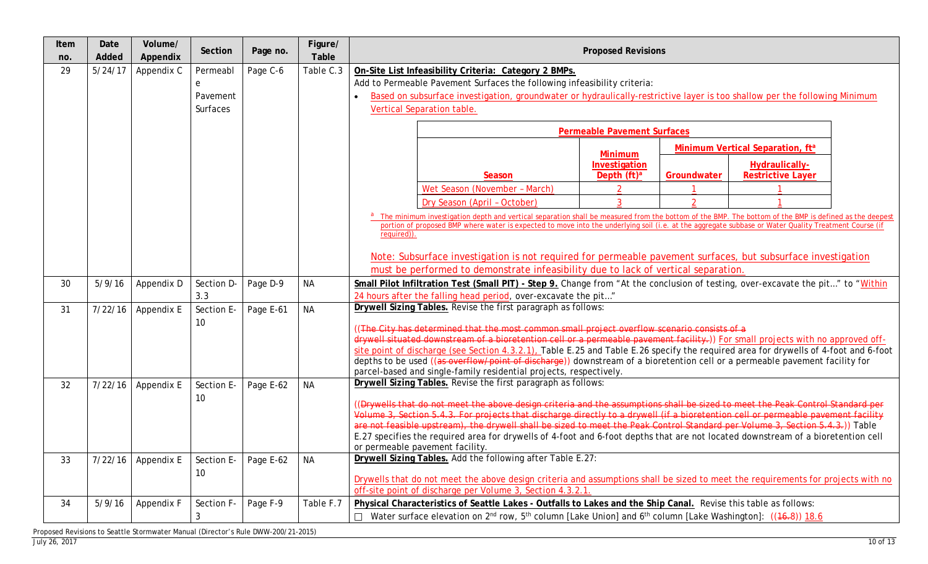| Item<br>no. | Date<br>Added | Volume/<br>Appendix  | Section    | Page no.  | Figure/<br>Table | <b>Proposed Revisions</b>                                                                                                                                                                                                                                           |  |  |  |  |  |  |
|-------------|---------------|----------------------|------------|-----------|------------------|---------------------------------------------------------------------------------------------------------------------------------------------------------------------------------------------------------------------------------------------------------------------|--|--|--|--|--|--|
| 29          | 5/24/17       | Appendix C           | Permeabl   | Page C-6  | Table C.3        | On-Site List Infeasibility Criteria: Category 2 BMPs.                                                                                                                                                                                                               |  |  |  |  |  |  |
|             |               |                      | e          |           |                  | Add to Permeable Pavement Surfaces the following infeasibility criteria:                                                                                                                                                                                            |  |  |  |  |  |  |
|             |               |                      | Pavement   |           |                  | Based on subsurface investigation, groundwater or hydraulically-restrictive layer is too shallow per the following Minimum                                                                                                                                          |  |  |  |  |  |  |
|             |               |                      | Surfaces   |           |                  | Vertical Separation table.                                                                                                                                                                                                                                          |  |  |  |  |  |  |
|             |               |                      |            |           |                  | <b>Permeable Pavement Surfaces</b>                                                                                                                                                                                                                                  |  |  |  |  |  |  |
|             |               |                      |            |           |                  | Minimum Vertical Separation, ft <sup>a</sup><br><b>Minimum</b>                                                                                                                                                                                                      |  |  |  |  |  |  |
|             |               |                      |            |           |                  | Investigation<br>Hydraulically-                                                                                                                                                                                                                                     |  |  |  |  |  |  |
|             |               |                      |            |           |                  | <b>Restrictive Layer</b><br>Depth $(ft)^a$<br>Season<br>Groundwater                                                                                                                                                                                                 |  |  |  |  |  |  |
|             |               |                      |            |           |                  | Wet Season (November - March)<br>$\overline{\phantom{a}}$                                                                                                                                                                                                           |  |  |  |  |  |  |
|             |               |                      |            |           |                  | 3<br>$\Omega$<br>Dry Season (April - October)                                                                                                                                                                                                                       |  |  |  |  |  |  |
|             |               |                      |            |           |                  | <sup>a</sup> The minimum investigation depth and vertical separation shall be measured from the bottom of the BMP. The bottom of the BMP is defined as the deepest                                                                                                  |  |  |  |  |  |  |
|             |               |                      |            |           |                  | portion of proposed BMP where water is expected to move into the underlying soil (i.e. at the aggregate subbase or Water Quality Treatment Course (if<br>required)).                                                                                                |  |  |  |  |  |  |
|             |               |                      |            |           |                  |                                                                                                                                                                                                                                                                     |  |  |  |  |  |  |
|             |               |                      |            |           |                  | Note: Subsurface investigation is not required for permeable pavement surfaces, but subsurface investigation                                                                                                                                                        |  |  |  |  |  |  |
|             |               |                      |            |           |                  | must be performed to demonstrate infeasibility due to lack of vertical separation.                                                                                                                                                                                  |  |  |  |  |  |  |
| 30          | 5/9/16        | Appendix D           | Section D- | Page D-9  | <b>NA</b>        | Small Pilot Infiltration Test (Small PIT) - Step 9. Change from "At the conclusion of testing, over-excavate the pit" to "Within                                                                                                                                    |  |  |  |  |  |  |
|             |               |                      | 3.3        |           |                  | 24 hours after the falling head period, over-excavate the pit"                                                                                                                                                                                                      |  |  |  |  |  |  |
| 31          | 7/22/16       | Appendix E           | Section E- | Page E-61 | <b>NA</b>        | Drywell Sizing Tables. Revise the first paragraph as follows:                                                                                                                                                                                                       |  |  |  |  |  |  |
|             |               |                      | 10         |           |                  | ((The City has determined that the most common small project overflow scenario consists of a                                                                                                                                                                        |  |  |  |  |  |  |
|             |               |                      |            |           |                  | drywell situated downstream of a bioretention cell or a permeable pavement facility.)) For small projects with no approved off-                                                                                                                                     |  |  |  |  |  |  |
|             |               |                      |            |           |                  | site point of discharge (see Section 4.3.2.1), Table E.25 and Table E.26 specify the required area for drywells of 4-foot and 6-foot<br>depths to be used ((as overflow/point of discharge)) downstream of a bioretention cell or a permeable pavement facility for |  |  |  |  |  |  |
|             |               |                      |            |           |                  | parcel-based and single-family residential projects, respectively.                                                                                                                                                                                                  |  |  |  |  |  |  |
| 32          | 7/22/16       | Appendix E           | Section E- | Page E-62 | <b>NA</b>        | Drywell Sizing Tables. Revise the first paragraph as follows:                                                                                                                                                                                                       |  |  |  |  |  |  |
|             |               |                      | 10         |           |                  |                                                                                                                                                                                                                                                                     |  |  |  |  |  |  |
|             |               |                      |            |           |                  | (Drywells that do not meet the above design criteria and the assumptions shall be sized to meet the Peak Control Standard per<br>Volume 3, Section 5.4.3. For projects that discharge directly to a drywell (if a bioretention cell or permeable pavement facility  |  |  |  |  |  |  |
|             |               |                      |            |           |                  | are not feasible upstream), the drywell shall be sized to meet the Peak Control Standard per Volume 3, Section 5,4,3.)) Table                                                                                                                                       |  |  |  |  |  |  |
|             |               |                      |            |           |                  | E.27 specifies the required area for drywells of 4-foot and 6-foot depths that are not located downstream of a bioretention cell                                                                                                                                    |  |  |  |  |  |  |
|             |               |                      |            |           |                  | or permeable pavement facility.                                                                                                                                                                                                                                     |  |  |  |  |  |  |
| 33          |               | $7/22/16$ Appendix E | Section E- | Page E-62 | <b>NA</b>        | Drywell Sizing Tables. Add the following after Table E.27:                                                                                                                                                                                                          |  |  |  |  |  |  |
|             |               |                      | 10         |           |                  | Drywells that do not meet the above design criteria and assumptions shall be sized to meet the requirements for projects with no                                                                                                                                    |  |  |  |  |  |  |
|             |               |                      |            |           |                  | off-site point of discharge per Volume 3, Section 4.3.2.1.                                                                                                                                                                                                          |  |  |  |  |  |  |
| 34          | 5/9/16        | Appendix F           | Section F- | Page F-9  | Table F.7        | Physical Characteristics of Seattle Lakes - Outfalls to Lakes and the Ship Canal. Revise this table as follows:                                                                                                                                                     |  |  |  |  |  |  |
|             |               |                      | 3          |           |                  | □ Water surface elevation on 2 <sup>nd</sup> row, 5 <sup>th</sup> column [Lake Union] and 6 <sup>th</sup> column [Lake Washington]: ((46,8)) 18.6                                                                                                                   |  |  |  |  |  |  |

Proposed Revisions to Seattle Stormwater Manual (Director's Rule DWW-200/21-2015)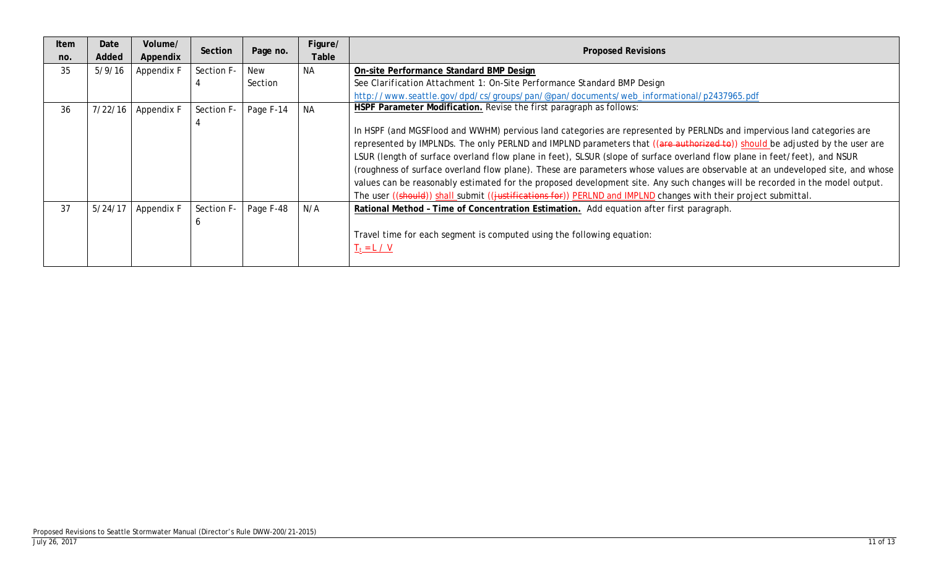| Item<br>no. | Date<br>Added | Volume/<br>Appendix | Section    | Page no.  | Figure/<br>Table | <b>Proposed Revisions</b>                                                                                                                                                                                                                                                                                                                                                                                                                                                                                                                                                                                                                                                                                                                                               |
|-------------|---------------|---------------------|------------|-----------|------------------|-------------------------------------------------------------------------------------------------------------------------------------------------------------------------------------------------------------------------------------------------------------------------------------------------------------------------------------------------------------------------------------------------------------------------------------------------------------------------------------------------------------------------------------------------------------------------------------------------------------------------------------------------------------------------------------------------------------------------------------------------------------------------|
| 35          | 5/9/16        | Appendix F          | Section F- | New       | <b>NA</b>        | On-site Performance Standard BMP Design                                                                                                                                                                                                                                                                                                                                                                                                                                                                                                                                                                                                                                                                                                                                 |
|             |               |                     |            | Section   |                  | See Clarification Attachment 1: On-Site Performance Standard BMP Design                                                                                                                                                                                                                                                                                                                                                                                                                                                                                                                                                                                                                                                                                                 |
|             |               |                     |            |           |                  | http://www.seattle.gov/dpd/cs/groups/pan/@pan/documents/web_informational/p2437965.pdf                                                                                                                                                                                                                                                                                                                                                                                                                                                                                                                                                                                                                                                                                  |
| 36          | 7/22/16       | Appendix F          | Section F- | Page F-14 | <b>NA</b>        | HSPF Parameter Modification. Revise the first paragraph as follows:                                                                                                                                                                                                                                                                                                                                                                                                                                                                                                                                                                                                                                                                                                     |
|             |               |                     |            |           |                  | In HSPF (and MGSFlood and WWHM) pervious land categories are represented by PERLNDs and impervious land categories are<br>represented by IMPLNDs. The only PERLND and IMPLND parameters that ((are authorized to)) should be adjusted by the user are<br>LSUR (length of surface overland flow plane in feet), SLSUR (slope of surface overland flow plane in feet/feet), and NSUR<br>(roughness of surface overland flow plane). These are parameters whose values are observable at an undeveloped site, and whose<br>values can be reasonably estimated for the proposed development site. Any such changes will be recorded in the model output.<br>The user ((should)) shall submit ((justifications for)) PERLND and IMPLND changes with their project submittal. |
| 37          | 5/24/17       | Appendix F          | Section F- | Page F-48 | N/A              | Rational Method - Time of Concentration Estimation. Add equation after first paragraph.<br>Travel time for each segment is computed using the following equation:<br>$T_t = L / V$                                                                                                                                                                                                                                                                                                                                                                                                                                                                                                                                                                                      |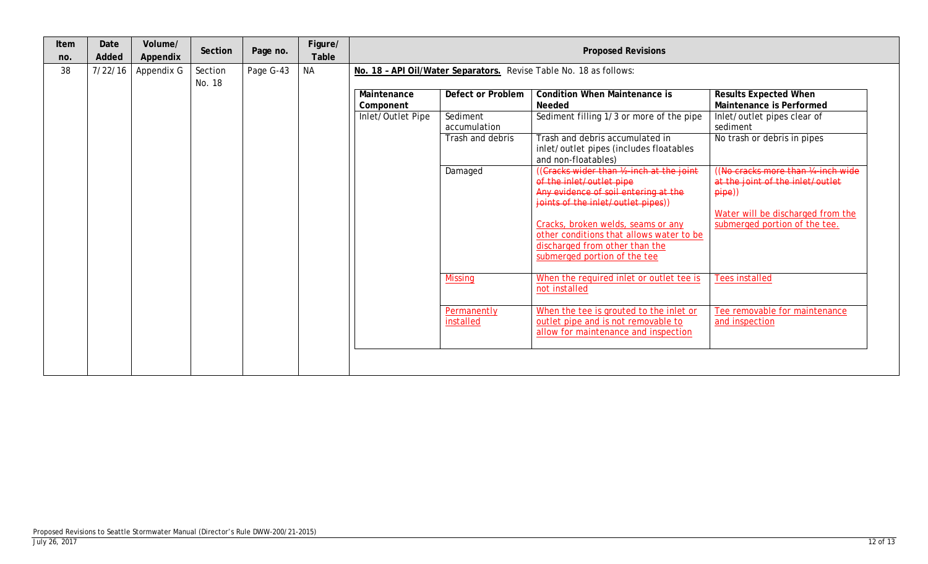| Item<br>no. | Date<br>Added | Volume/<br>Appendix | Section | Page no.  | Figure/<br>Table |                                               | <b>Proposed Revisions</b>                                                                                                  |                                                                                                                                                                                                                                                                                                                                                                                                                                                                                                                                                                                                                                                                                                   |                                                                                                                                                                                                                                                                                                                                                                           |  |  |  |
|-------------|---------------|---------------------|---------|-----------|------------------|-----------------------------------------------|----------------------------------------------------------------------------------------------------------------------------|---------------------------------------------------------------------------------------------------------------------------------------------------------------------------------------------------------------------------------------------------------------------------------------------------------------------------------------------------------------------------------------------------------------------------------------------------------------------------------------------------------------------------------------------------------------------------------------------------------------------------------------------------------------------------------------------------|---------------------------------------------------------------------------------------------------------------------------------------------------------------------------------------------------------------------------------------------------------------------------------------------------------------------------------------------------------------------------|--|--|--|
| 38          | 7/22/16       | Appendix G          | Section | Page G-43 | <b>NA</b>        |                                               | No. 18 - API Oil/Water Separators. Revise Table No. 18 as follows:                                                         |                                                                                                                                                                                                                                                                                                                                                                                                                                                                                                                                                                                                                                                                                                   |                                                                                                                                                                                                                                                                                                                                                                           |  |  |  |
|             |               |                     | No. 18  |           |                  | Maintenance<br>Component<br>Inlet/Outlet Pipe | Defect or Problem<br>Sediment<br>accumulation<br>Trash and debris<br>Damaged<br><b>Missing</b><br>Permanently<br>installed | <b>Condition When Maintenance is</b><br>Needed<br>Sediment filling 1/3 or more of the pipe<br>Trash and debris accumulated in<br>inlet/outlet pipes (includes floatables<br>and non-floatables)<br>((Cracks wider than 1/2-inch at the joint<br>of the inlet/outlet pipe<br>Any evidence of soil entering at the<br>joints of the inlet/outlet pipes))<br>Cracks, broken welds, seams or any<br>other conditions that allows water to be<br>discharged from other than the<br>submerged portion of the tee<br>When the required inlet or outlet tee is<br>not installed<br>When the tee is grouted to the inlet or<br>outlet pipe and is not removable to<br>allow for maintenance and inspection | <b>Results Expected When</b><br>Maintenance is Performed<br>Inlet/outlet pipes clear of<br>sediment<br>No trash or debris in pipes<br>(No cracks more than 1/4-inch wide)<br>at the joint of the inlet/outlet<br>$pi$ )<br>Water will be discharged from the<br>submerged portion of the tee.<br><b>Tees installed</b><br>Tee removable for maintenance<br>and inspection |  |  |  |